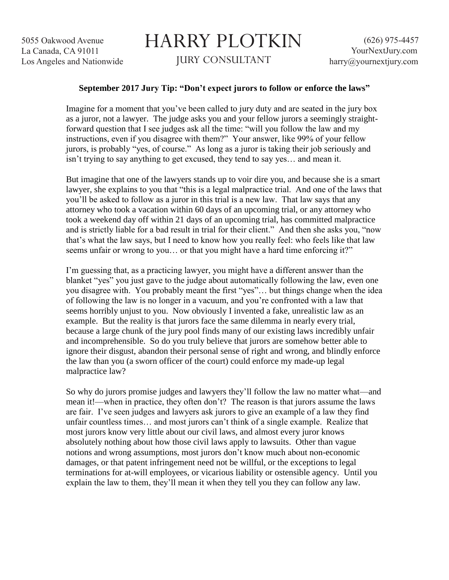## HARRY PLOTKIN JURY CONSULTANT

## **September 2017 Jury Tip: "Don't expect jurors to follow or enforce the laws"**

Imagine for a moment that you've been called to jury duty and are seated in the jury box as a juror, not a lawyer. The judge asks you and your fellow jurors a seemingly straightforward question that I see judges ask all the time: "will you follow the law and my instructions, even if you disagree with them?" Your answer, like 99% of your fellow jurors, is probably "yes, of course." As long as a juror is taking their job seriously and isn't trying to say anything to get excused, they tend to say yes… and mean it.

But imagine that one of the lawyers stands up to voir dire you, and because she is a smart lawyer, she explains to you that "this is a legal malpractice trial. And one of the laws that you'll be asked to follow as a juror in this trial is a new law. That law says that any attorney who took a vacation within 60 days of an upcoming trial, or any attorney who took a weekend day off within 21 days of an upcoming trial, has committed malpractice and is strictly liable for a bad result in trial for their client." And then she asks you, "now that's what the law says, but I need to know how you really feel: who feels like that law seems unfair or wrong to you… or that you might have a hard time enforcing it?"

I'm guessing that, as a practicing lawyer, you might have a different answer than the blanket "yes" you just gave to the judge about automatically following the law, even one you disagree with. You probably meant the first "yes"… but things change when the idea of following the law is no longer in a vacuum, and you're confronted with a law that seems horribly unjust to you. Now obviously I invented a fake, unrealistic law as an example. But the reality is that jurors face the same dilemma in nearly every trial, because a large chunk of the jury pool finds many of our existing laws incredibly unfair and incomprehensible. So do you truly believe that jurors are somehow better able to ignore their disgust, abandon their personal sense of right and wrong, and blindly enforce the law than you (a sworn officer of the court) could enforce my made-up legal malpractice law?

So why do jurors promise judges and lawyers they'll follow the law no matter what—and mean it!—when in practice, they often don't? The reason is that jurors assume the laws are fair. I've seen judges and lawyers ask jurors to give an example of a law they find unfair countless times… and most jurors can't think of a single example. Realize that most jurors know very little about our civil laws, and almost every juror knows absolutely nothing about how those civil laws apply to lawsuits. Other than vague notions and wrong assumptions, most jurors don't know much about non-economic damages, or that patent infringement need not be willful, or the exceptions to legal terminations for at-will employees, or vicarious liability or ostensible agency. Until you explain the law to them, they'll mean it when they tell you they can follow any law.